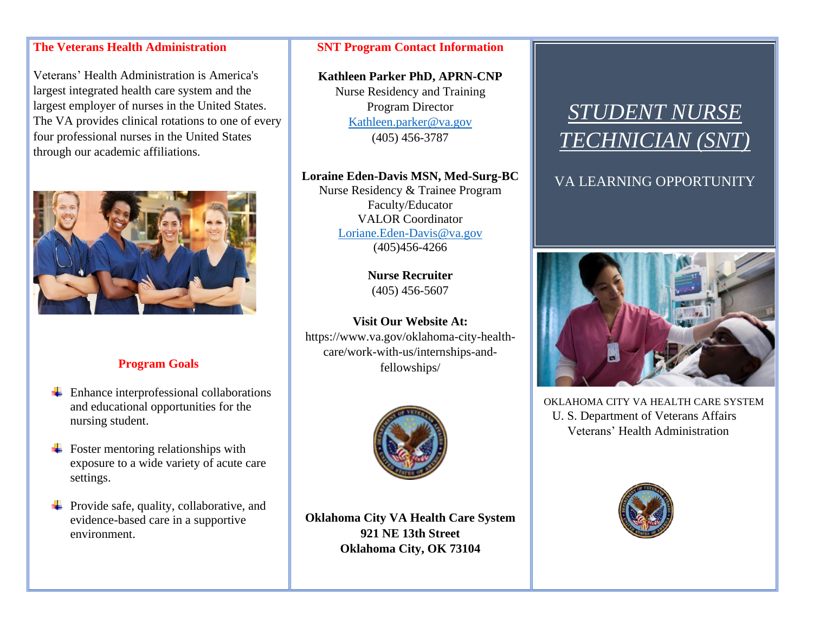### **The Veterans Health Administration**

Veterans' Health Administration is America's largest integrated health care system and the largest employer of nurses in the United States. The VA provides clinical rotations to one of every four professional nurses in the United States through our academic affiliations.



### **Program Goals**

- $\overline{\phantom{a}}$  Enhance interprofessional collaborations and educational opportunities for the nursing student.
- $\overline{\phantom{a}}$  Foster mentoring relationships with exposure to a wide variety of acute care settings.
- $\overline{\text{F}}$  Provide safe, quality, collaborative, and evidence-based care in a supportive environment.

#### **SNT Program Contact Information**

**Kathleen Parker PhD, APRN-CNP** Nurse Residency and Training Program Director [Kathleen.parker@va.gov](mailto:Kathleen.parker@va.gov) (405) 456-3787

#### **Loraine Eden-Davis MSN, Med-Surg-BC**

Nurse Residency & Trainee Program Faculty/Educator VALOR Coordinator [Loriane.Eden-Davis@va.gov](mailto:Loriane.Eden-Davis@va.gov) (405)456-4266

> **Nurse Recruiter** (405) 456-5607

**Visit Our Website At:** https://www.va.gov/oklahoma-city-healthcare/work-with-us/internships-andfellowships/



**Oklahoma City VA Health Care System 921 NE 13th Street Oklahoma City, OK 73104**

# *STUDENT NURSE TECHNICIAN (SNT)*

VA LEARNING OPPORTUNITY



OKLAHOMA CITY VA HEALTH CARE SYSTEM U. S. Department of Veterans Affairs Veterans' Health Administration